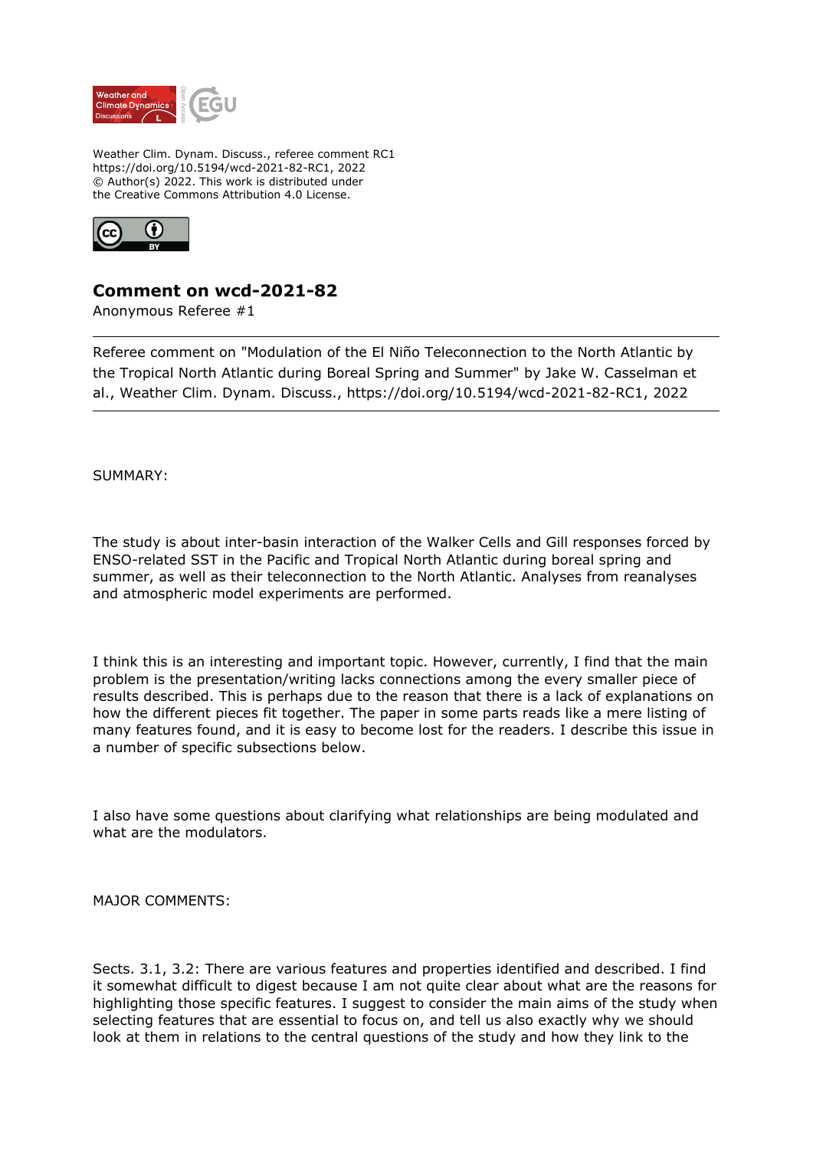

Weather Clim. Dynam. Discuss., referee comment RC1 https://doi.org/10.5194/wcd-2021-82-RC1, 2022 © Author(s) 2022. This work is distributed under the Creative Commons Attribution 4.0 License.



## **Comment on wcd-2021-82**

Anonymous Referee #1

Referee comment on "Modulation of the El Niño Teleconnection to the North Atlantic by the Tropical North Atlantic during Boreal Spring and Summer" by Jake W. Casselman et al., Weather Clim. Dynam. Discuss., https://doi.org/10.5194/wcd-2021-82-RC1, 2022

SUMMARY:

The study is about inter-basin interaction of the Walker Cells and Gill responses forced by ENSO-related SST in the Pacific and Tropical North Atlantic during boreal spring and summer, as well as their teleconnection to the North Atlantic. Analyses from reanalyses and atmospheric model experiments are performed.

I think this is an interesting and important topic. However, currently, I find that the main problem is the presentation/writing lacks connections among the every smaller piece of results described. This is perhaps due to the reason that there is a lack of explanations on how the different pieces fit together. The paper in some parts reads like a mere listing of many features found, and it is easy to become lost for the readers. I describe this issue in a number of specific subsections below.

I also have some questions about clarifying what relationships are being modulated and what are the modulators.

MAJOR COMMENTS:

Sects. 3.1, 3.2: There are various features and properties identified and described. I find it somewhat difficult to digest because I am not quite clear about what are the reasons for highlighting those specific features. I suggest to consider the main aims of the study when selecting features that are essential to focus on, and tell us also exactly why we should look at them in relations to the central questions of the study and how they link to the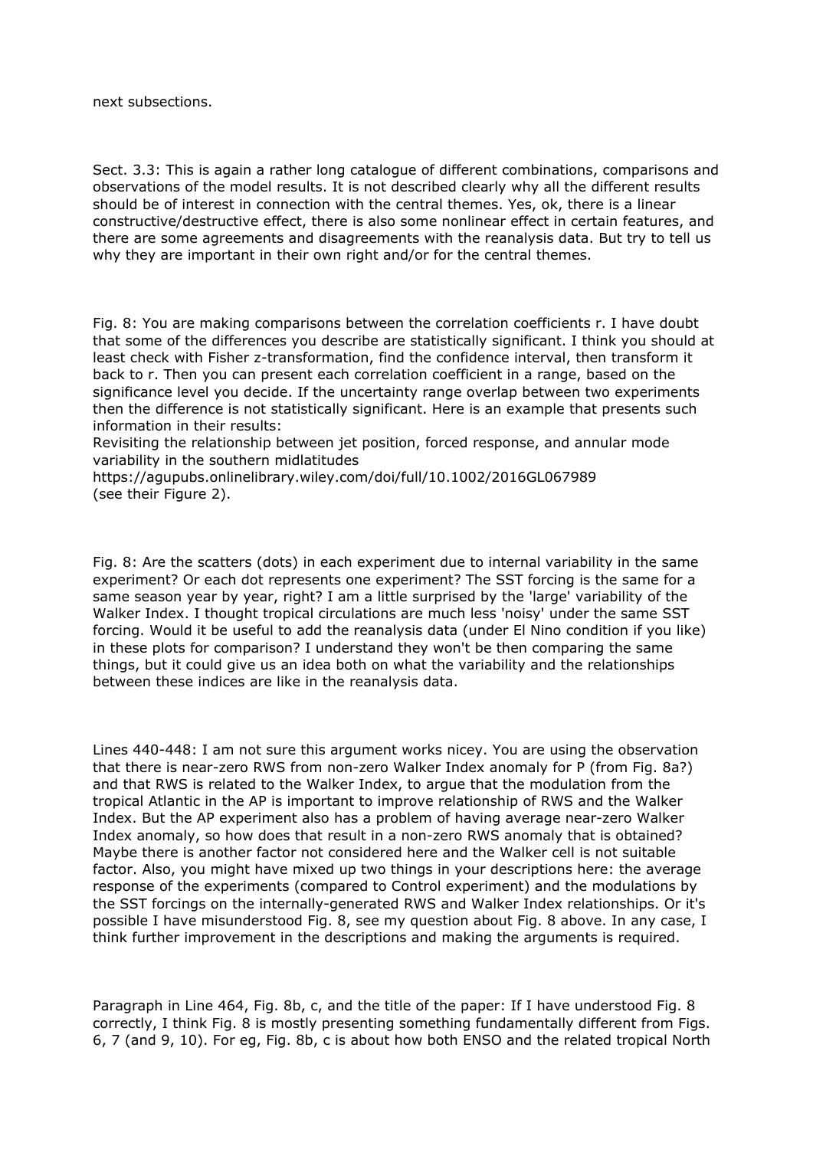next subsections.

Sect. 3.3: This is again a rather long catalogue of different combinations, comparisons and observations of the model results. It is not described clearly why all the different results should be of interest in connection with the central themes. Yes, ok, there is a linear constructive/destructive effect, there is also some nonlinear effect in certain features, and there are some agreements and disagreements with the reanalysis data. But try to tell us why they are important in their own right and/or for the central themes.

Fig. 8: You are making comparisons between the correlation coefficients r. I have doubt that some of the differences you describe are statistically significant. I think you should at least check with Fisher z-transformation, find the confidence interval, then transform it back to r. Then you can present each correlation coefficient in a range, based on the significance level you decide. If the uncertainty range overlap between two experiments then the difference is not statistically significant. Here is an example that presents such information in their results:

Revisiting the relationship between jet position, forced response, and annular mode variability in the southern midlatitudes

https://agupubs.onlinelibrary.wiley.com/doi/full/10.1002/2016GL067989 (see their Figure 2).

Fig. 8: Are the scatters (dots) in each experiment due to internal variability in the same experiment? Or each dot represents one experiment? The SST forcing is the same for a same season year by year, right? I am a little surprised by the 'large' variability of the Walker Index. I thought tropical circulations are much less 'noisy' under the same SST forcing. Would it be useful to add the reanalysis data (under El Nino condition if you like) in these plots for comparison? I understand they won't be then comparing the same things, but it could give us an idea both on what the variability and the relationships between these indices are like in the reanalysis data.

Lines 440-448: I am not sure this argument works nicey. You are using the observation that there is near-zero RWS from non-zero Walker Index anomaly for P (from Fig. 8a?) and that RWS is related to the Walker Index, to argue that the modulation from the tropical Atlantic in the AP is important to improve relationship of RWS and the Walker Index. But the AP experiment also has a problem of having average near-zero Walker Index anomaly, so how does that result in a non-zero RWS anomaly that is obtained? Maybe there is another factor not considered here and the Walker cell is not suitable factor. Also, you might have mixed up two things in your descriptions here: the average response of the experiments (compared to Control experiment) and the modulations by the SST forcings on the internally-generated RWS and Walker Index relationships. Or it's possible I have misunderstood Fig. 8, see my question about Fig. 8 above. In any case, I think further improvement in the descriptions and making the arguments is required.

Paragraph in Line 464, Fig. 8b, c, and the title of the paper: If I have understood Fig. 8 correctly, I think Fig. 8 is mostly presenting something fundamentally different from Figs. 6, 7 (and 9, 10). For eg, Fig. 8b, c is about how both ENSO and the related tropical North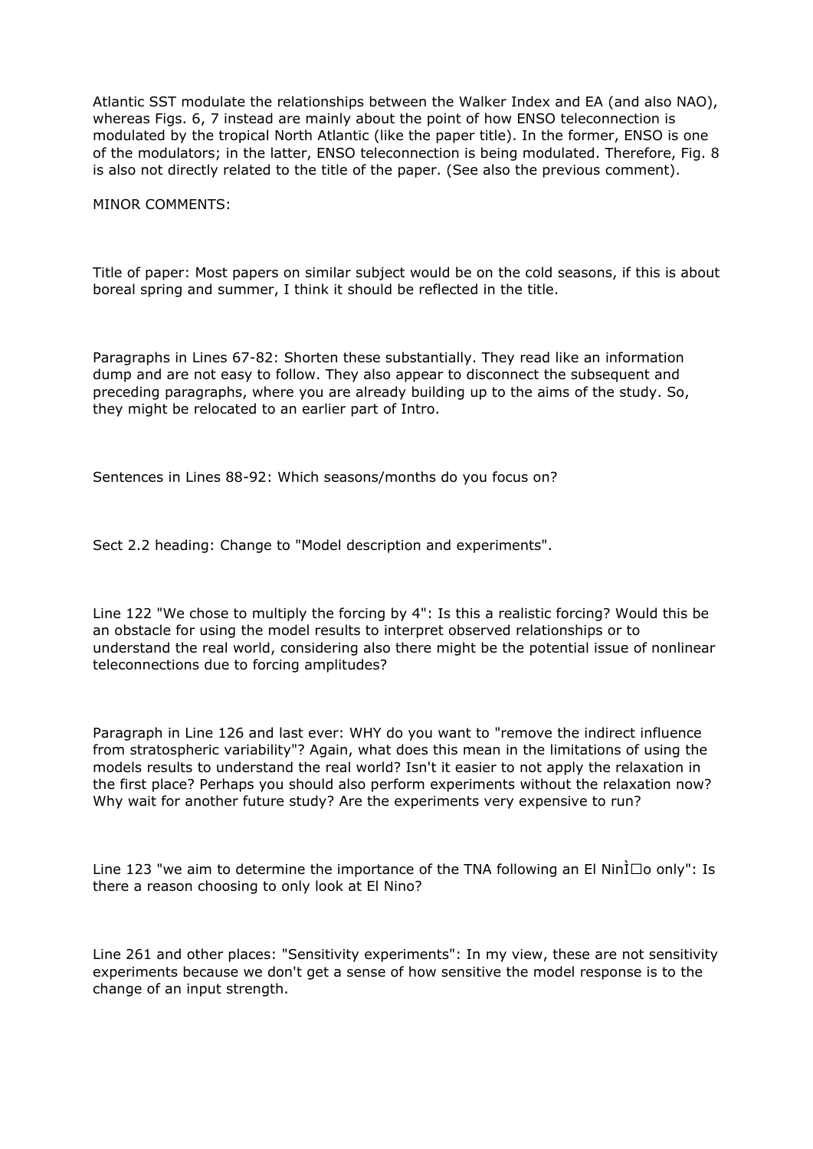Atlantic SST modulate the relationships between the Walker Index and EA (and also NAO), whereas Figs. 6, 7 instead are mainly about the point of how ENSO teleconnection is modulated by the tropical North Atlantic (like the paper title). In the former, ENSO is one of the modulators; in the latter, ENSO teleconnection is being modulated. Therefore, Fig. 8 is also not directly related to the title of the paper. (See also the previous comment).

MINOR COMMENTS:

Title of paper: Most papers on similar subject would be on the cold seasons, if this is about boreal spring and summer, I think it should be reflected in the title.

Paragraphs in Lines 67-82: Shorten these substantially. They read like an information dump and are not easy to follow. They also appear to disconnect the subsequent and preceding paragraphs, where you are already building up to the aims of the study. So, they might be relocated to an earlier part of Intro.

Sentences in Lines 88-92: Which seasons/months do you focus on?

Sect 2.2 heading: Change to "Model description and experiments".

Line 122 "We chose to multiply the forcing by 4": Is this a realistic forcing? Would this be an obstacle for using the model results to interpret observed relationships or to understand the real world, considering also there might be the potential issue of nonlinear teleconnections due to forcing amplitudes?

Paragraph in Line 126 and last ever: WHY do you want to "remove the indirect influence from stratospheric variability"? Again, what does this mean in the limitations of using the models results to understand the real world? Isn't it easier to not apply the relaxation in the first place? Perhaps you should also perform experiments without the relaxation now? Why wait for another future study? Are the experiments very expensive to run?

Line 123 "we aim to determine the importance of the TNA following an El Nin $\overline{\text{L}}$  o only": Is there a reason choosing to only look at El Nino?

Line 261 and other places: "Sensitivity experiments": In my view, these are not sensitivity experiments because we don't get a sense of how sensitive the model response is to the change of an input strength.